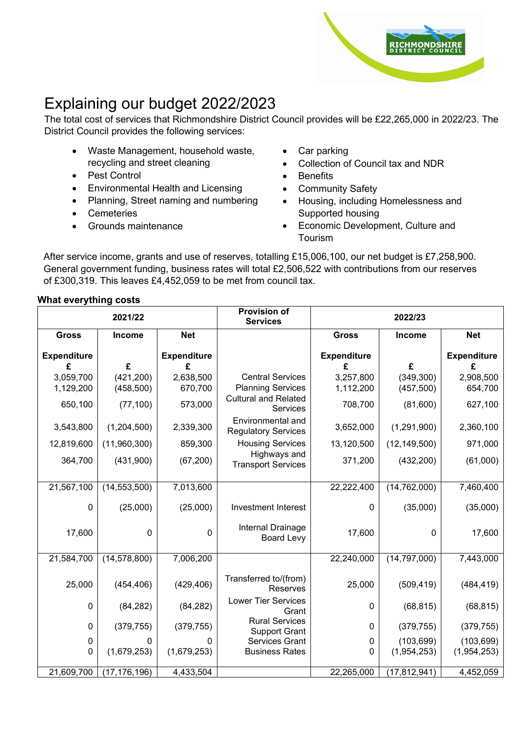

# Explaining our budget 2022/2023

The total cost of services that Richmondshire District Council provides will be £22,265,000 in 2022/23. The District Council provides the following services:

- Waste Management, household waste, recycling and street cleaning
- Pest Control
- Environmental Health and Licensing
- Planning, Street naming and numbering
- **Cemeteries**
- Grounds maintenance
- Car parking
- Collection of Council tax and NDR
- Benefits
- Community Safety
- Housing, including Homelessness and Supported housing
- Economic Development, Culture and Tourism

 General government funding, business rates will total £2,506,522 with contributions from our reserves After service income, grants and use of reserves, totalling £15,006,100, our net budget is £7,258,900. of £300,319. This leaves £4,452,059 to be met from council tax.

#### **What everything costs**

| 2021/22            |                | <b>Provision of</b><br><b>Services</b> | 2022/23                                         |                    |                |                    |
|--------------------|----------------|----------------------------------------|-------------------------------------------------|--------------------|----------------|--------------------|
| <b>Gross</b>       | Income         | <b>Net</b>                             |                                                 | <b>Gross</b>       | Income         | <b>Net</b>         |
| <b>Expenditure</b> |                | <b>Expenditure</b>                     |                                                 | <b>Expenditure</b> |                | <b>Expenditure</b> |
| £                  | £              | £                                      |                                                 | £                  | £              | £                  |
| 3,059,700          | (421, 200)     | 2,638,500                              | <b>Central Services</b>                         | 3,257,800          | (349, 300)     | 2,908,500          |
| 1,129,200          | (458, 500)     | 670,700                                | <b>Planning Services</b>                        | 1,112,200          | (457, 500)     | 654,700            |
| 650,100            | (77, 100)      | 573,000                                | <b>Cultural and Related</b><br><b>Services</b>  | 708,700            | (81,600)       | 627,100            |
| 3,543,800          | (1,204,500)    | 2,339,300                              | Environmental and<br><b>Regulatory Services</b> | 3,652,000          | (1,291,900)    | 2,360,100          |
| 12,819,600         | (11,960,300)   | 859,300                                | <b>Housing Services</b>                         | 13,120,500         | (12, 149, 500) | 971,000            |
| 364,700            | (431,900)      | (67, 200)                              | Highways and<br><b>Transport Services</b>       | 371,200            | (432, 200)     | (61,000)           |
| 21,567,100         | (14, 553, 500) | 7,013,600                              |                                                 | 22,222,400         | (14, 762, 000) | 7,460,400          |
| 0                  | (25,000)       | (25,000)                               | <b>Investment Interest</b>                      | 0                  | (35,000)       | (35,000)           |
| 17,600             | 0              | 0                                      | Internal Drainage<br><b>Board Levy</b>          | 17,600             | 0              | 17,600             |
| 21,584,700         | (14, 578, 800) | 7,006,200                              |                                                 | 22,240,000         | (14, 797, 000) | 7,443,000          |
| 25,000             | (454, 406)     | (429, 406)                             | Transferred to/(from)<br>Reserves               | 25,000             | (509, 419)     | (484, 419)         |
| 0                  | (84, 282)      | (84, 282)                              | <b>Lower Tier Services</b><br>Grant             | 0                  | (68, 815)      | (68, 815)          |
| 0                  | (379, 755)     | (379, 755)                             | <b>Rural Services</b><br><b>Support Grant</b>   | $\mathbf 0$        | (379, 755)     | (379, 755)         |
| 0                  | 0              |                                        | <b>Services Grant</b>                           | 0                  | (103, 699)     | (103, 699)         |
| $\mathbf 0$        | (1,679,253)    | (1,679,253)                            | <b>Business Rates</b>                           | 0                  | (1,954,253)    | (1,954,253)        |
| 21,609,700         | (17, 176, 196) | 4,433,504                              |                                                 | 22,265,000         | (17, 812, 941) | 4,452,059          |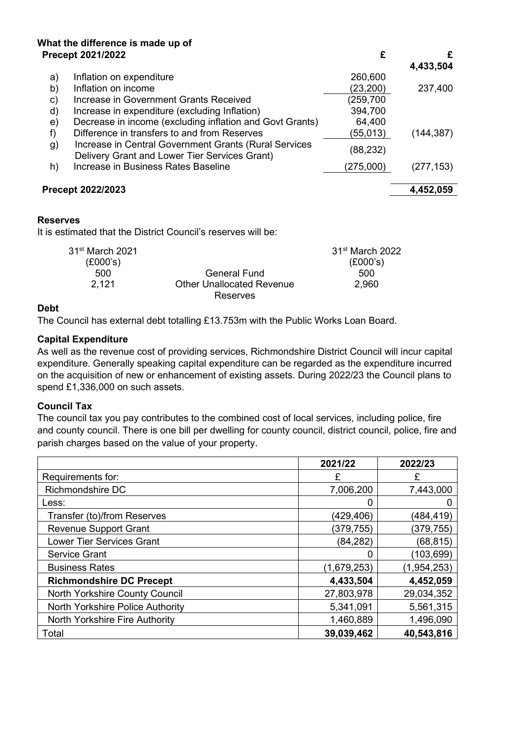# **What the difference is made up of**

|                 | <b>Precept 2021/2022</b>                                                                               | £                           | £          |
|-----------------|--------------------------------------------------------------------------------------------------------|-----------------------------|------------|
|                 |                                                                                                        |                             | 4,433,504  |
| a)              | Inflation on expenditure                                                                               | 260,600                     |            |
| b)              | Inflation on income                                                                                    | (23,200)                    | 237,400    |
| c)              | Increase in Government Grants Received                                                                 | (259,700                    |            |
| d)              | Increase in expenditure (excluding Inflation)                                                          | 394,700                     |            |
| e)              | Decrease in income (excluding inflation and Govt Grants)                                               | 64,400                      |            |
| f)              | Difference in transfers to and from Reserves                                                           | (55,013)                    | (144, 387) |
| g)              | Increase in Central Government Grants (Rural Services<br>Delivery Grant and Lower Tier Services Grant) | (88, 232)                   |            |
| h)              | Increase in Business Rates Baseline                                                                    | (275,000)                   | (277, 153) |
|                 | Precept 2022/2023                                                                                      |                             | 4,452,059  |
| <b>Reserves</b> |                                                                                                        |                             |            |
|                 | It is estimated that the District Council's reserves will be:                                          |                             |            |
|                 | 31 <sup>st</sup> March 2021                                                                            | 31 <sup>st</sup> March 2022 |            |

|                                  | o i≅ March Z∪Z. |
|----------------------------------|-----------------|
|                                  | (E000's)        |
| General Fund                     | 500             |
| <b>Other Unallocated Revenue</b> | 2.960           |
| Reserves                         |                 |
|                                  |                 |

#### **Debt**

The Council has external debt totalling £13.753m with the Public Works Loan Board.

#### **Capital Expenditure**

 As well as the revenue cost of providing services, Richmondshire District Council will incur capital expenditure. Generally speaking capital expenditure can be regarded as the expenditure incurred on the acquisition of new or enhancement of existing assets. During 2022/23 the Council plans to spend £1,336,000 on such assets.

#### **Council Tax**

 The council tax you pay contributes to the combined cost of local services, including police, fire and county council. There is one bill per dwelling for county council, district council, police, fire and parish charges based on the value of your property.

|                                  | 2021/22     | 2022/23     |
|----------------------------------|-------------|-------------|
| Requirements for:                | F           | £           |
| Richmondshire DC                 | 7,006,200   | 7,443,000   |
| Less:                            | 0           |             |
| Transfer (to)/from Reserves      | (429,406)   | (484,419)   |
| <b>Revenue Support Grant</b>     | (379,755)   | (379,755)   |
| <b>Lower Tier Services Grant</b> | (84, 282)   | (68, 815)   |
| <b>Service Grant</b>             | 0           | (103, 699)  |
| <b>Business Rates</b>            | (1,679,253) | (1,954,253) |
| <b>Richmondshire DC Precept</b>  | 4,433,504   | 4,452,059   |
| North Yorkshire County Council   | 27,803,978  | 29,034,352  |
| North Yorkshire Police Authority | 5,341,091   | 5,561,315   |
| North Yorkshire Fire Authority   | 1,460,889   | 1,496,090   |
| Total                            | 39,039,462  | 40,543,816  |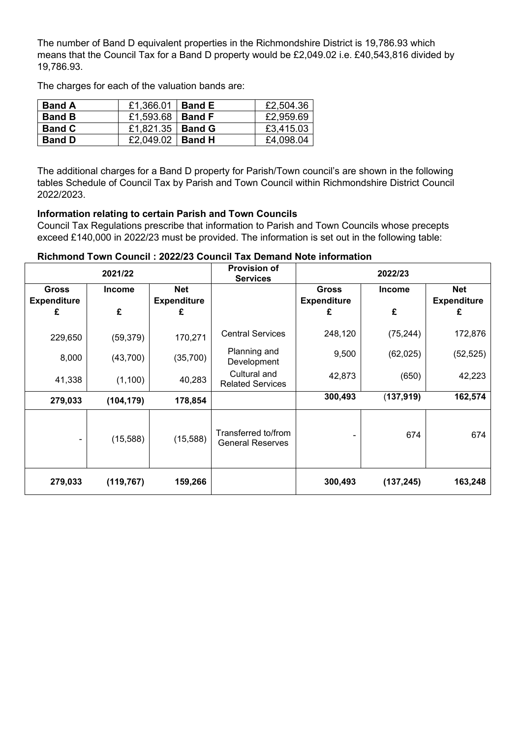means that the Council Tax for a Band D property would be [£2,049.02](https://2,049.02) i.e. £40,543,816 divided by The number of Band D equivalent properties in the Richmondshire District is [19,786.93](https://19,786.93) which [19,786.93.](https://19,786.93)

The charges for each of the valuation bands are:

| <b>Band A</b> | £1,366.01   Band E        | £2,504.36 |
|---------------|---------------------------|-----------|
| <b>Band B</b> | £1,593.68   <b>Band F</b> | £2,959.69 |
| <b>Band C</b> | £1,821.35   Band G        | £3,415.03 |
| <b>Band D</b> | £2,049.02   <b>Band H</b> | £4,098.04 |

The additional charges for a Band D property for Parish/Town council's are shown in the following tables Schedule of Council Tax by Parish and Town Council within Richmondshire District Council 2022/2023.

## **Information relating to certain Parish and Town Councils**

 exceed £140,000 in 2022/23 must be provided. The information is set out in the following table: Council Tax Regulations prescribe that information to Parish and Town Councils whose precepts

|  |  |  | Richmond Town Council: 2022/23 Council Tax Demand Note information |  |
|--|--|--|--------------------------------------------------------------------|--|
|--|--|--|--------------------------------------------------------------------|--|

| 2021/22                            |               | <b>Provision of</b><br><b>Services</b> | 2022/23                                        |                                    |               |                                  |
|------------------------------------|---------------|----------------------------------------|------------------------------------------------|------------------------------------|---------------|----------------------------------|
| <b>Gross</b><br><b>Expenditure</b> | <b>Income</b> | <b>Net</b><br><b>Expenditure</b>       |                                                | <b>Gross</b><br><b>Expenditure</b> | <b>Income</b> | <b>Net</b><br><b>Expenditure</b> |
| £                                  | £             | £                                      |                                                | £                                  | £             | £                                |
| 229,650                            | (59, 379)     | 170,271                                | <b>Central Services</b>                        | 248,120                            | (75, 244)     | 172,876                          |
| 8,000                              | (43,700)      | (35,700)                               | Planning and<br>Development                    | 9,500                              | (62, 025)     | (52, 525)                        |
| 41,338                             | (1,100)       | 40,283                                 | Cultural and<br><b>Related Services</b>        | 42,873                             | (650)         | 42,223                           |
| 279,033                            | (104, 179)    | 178,854                                |                                                | 300,493                            | (137, 919)    | 162,574                          |
|                                    | (15, 588)     | (15,588)                               | Transferred to/from<br><b>General Reserves</b> |                                    | 674           | 674                              |
| 279,033                            | (119, 767)    | 159,266                                |                                                | 300,493                            | (137, 245)    | 163,248                          |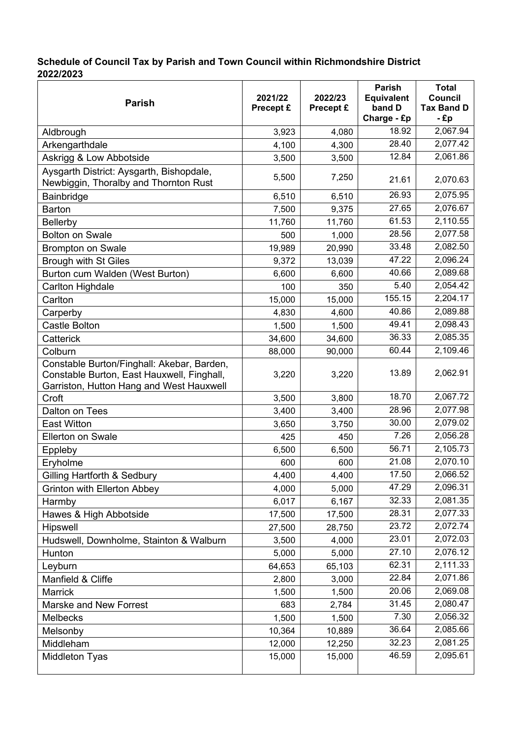## **Schedule of Council Tax by Parish and Town Council within Richmondshire District 2022/2023**

| <b>Parish</b>                                                                                                                        | 2021/22<br><b>Precept £</b> | 2022/23<br>Precept £ | <b>Parish</b><br><b>Equivalent</b><br>band D<br>Charge - £p | <b>Total</b><br>Council<br><b>Tax Band D</b><br>- £p |
|--------------------------------------------------------------------------------------------------------------------------------------|-----------------------------|----------------------|-------------------------------------------------------------|------------------------------------------------------|
| Aldbrough                                                                                                                            | 3,923                       | 4,080                | 18.92                                                       | 2,067.94                                             |
| Arkengarthdale                                                                                                                       | 4,100                       | 4,300                | 28.40                                                       | 2,077.42                                             |
| Askrigg & Low Abbotside                                                                                                              | 3,500                       | 3,500                | 12.84                                                       | 2,061.86                                             |
| Aysgarth District: Aysgarth, Bishopdale,<br>Newbiggin, Thoralby and Thornton Rust                                                    | 5,500                       | 7,250                | 21.61                                                       | 2,070.63                                             |
| Bainbridge                                                                                                                           | 6,510                       | 6,510                | 26.93                                                       | 2,075.95                                             |
| <b>Barton</b>                                                                                                                        | 7,500                       | 9,375                | 27.65                                                       | 2,076.67                                             |
| Bellerby                                                                                                                             | 11,760                      | 11,760               | 61.53                                                       | 2,110.55                                             |
| <b>Bolton on Swale</b>                                                                                                               | 500                         | 1,000                | 28.56                                                       | 2,077.58                                             |
| <b>Brompton on Swale</b>                                                                                                             | 19,989                      | 20,990               | 33.48                                                       | 2,082.50                                             |
| <b>Brough with St Giles</b>                                                                                                          | 9,372                       | 13,039               | 47.22                                                       | 2,096.24                                             |
| Burton cum Walden (West Burton)                                                                                                      | 6,600                       | 6,600                | 40.66                                                       | 2,089.68                                             |
| Carlton Highdale                                                                                                                     | 100                         | 350                  | 5.40                                                        | 2,054.42                                             |
| Carlton                                                                                                                              | 15,000                      | 15,000               | 155.15                                                      | 2,204.17                                             |
| Carperby                                                                                                                             | 4,830                       | 4,600                | 40.86                                                       | 2,089.88                                             |
| <b>Castle Bolton</b>                                                                                                                 | 1,500                       | 1,500                | 49.41                                                       | 2,098.43                                             |
| Catterick                                                                                                                            | 34,600                      | 34,600               | 36.33                                                       | 2,085.35                                             |
| Colburn                                                                                                                              | 88,000                      | 90,000               | 60.44                                                       | 2,109.46                                             |
| Constable Burton/Finghall: Akebar, Barden,<br>Constable Burton, East Hauxwell, Finghall,<br>Garriston, Hutton Hang and West Hauxwell | 3,220                       | 3,220                | 13.89                                                       | 2,062.91                                             |
| Croft                                                                                                                                | 3,500                       | 3,800                | 18.70                                                       | 2,067.72                                             |
| Dalton on Tees                                                                                                                       | 3,400                       | 3,400                | 28.96                                                       | 2,077.98                                             |
| <b>East Witton</b>                                                                                                                   | 3,650                       | 3,750                | 30.00                                                       | 2,079.02                                             |
| <b>Ellerton on Swale</b>                                                                                                             | 425                         | 450                  | 7.26                                                        | 2,056.28                                             |
| Eppleby                                                                                                                              | 6,500                       | 6,500                | 56.71                                                       | 2,105.73                                             |
| Eryholme                                                                                                                             | 600                         | 600                  | 21.08                                                       | 2,070.10                                             |
| <b>Gilling Hartforth &amp; Sedbury</b>                                                                                               | 4,400                       | 4,400                | 17.50                                                       | 2,066.52                                             |
| <b>Grinton with Ellerton Abbey</b>                                                                                                   | 4,000                       | 5,000                | 47.29                                                       | 2,096.31                                             |
| Harmby                                                                                                                               | 6,017                       | 6,167                | 32.33                                                       | 2,081.35                                             |
| Hawes & High Abbotside                                                                                                               | 17,500                      | 17,500               | 28.31                                                       | 2,077.33                                             |
| Hipswell                                                                                                                             | 27,500                      | 28,750               | 23.72                                                       | 2,072.74                                             |
| Hudswell, Downholme, Stainton & Walburn                                                                                              | 3,500                       | 4,000                | 23.01                                                       | 2,072.03                                             |
| Hunton                                                                                                                               | 5,000                       | 5,000                | 27.10                                                       | 2,076.12                                             |
| Leyburn                                                                                                                              | 64,653                      | 65,103               | 62.31                                                       | 2,111.33                                             |
| Manfield & Cliffe                                                                                                                    | 2,800                       | 3,000                | 22.84                                                       | 2,071.86                                             |
| Marrick                                                                                                                              | 1,500                       | 1,500                | 20.06                                                       | 2,069.08                                             |
| Marske and New Forrest                                                                                                               | 683                         | 2,784                | 31.45                                                       | 2,080.47                                             |
| <b>Melbecks</b>                                                                                                                      | 1,500                       | 1,500                | 7.30                                                        | 2,056.32                                             |
| Melsonby                                                                                                                             | 10,364                      | 10,889               | 36.64                                                       | 2,085.66                                             |
| Middleham                                                                                                                            | 12,000                      | 12,250               | 32.23                                                       | 2,081.25                                             |
| <b>Middleton Tyas</b>                                                                                                                | 15,000                      | 15,000               | 46.59                                                       | 2,095.61                                             |